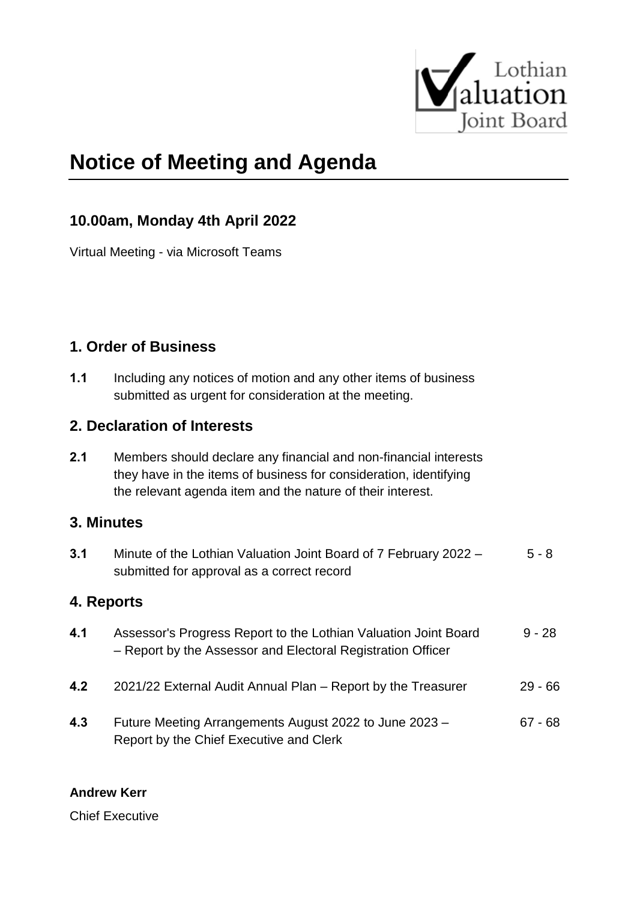

# **Notice of Meeting and Agenda**

## **10.00am, Monday 4th April 2022**

Virtual Meeting - via Microsoft Teams

## **1. Order of Business**

**1.1** Including any notices of motion and any other items of business submitted as urgent for consideration at the meeting.

## **2. Declaration of Interests**

**2.1** Members should declare any financial and non-financial interests they have in the items of business for consideration, identifying the relevant agenda item and the nature of their interest.

### **3. Minutes**

**3.1** Minute of the Lothian Valuation Joint Board of 7 February 2022 – submitted for approval as a correct record 5 - 8

### **4. Reports**

- **4.1** Assessor's Progress Report to the Lothian Valuation Joint Board – Report by the Assessor and Electoral Registration Officer 9 - 28
- **4.2** 2021/22 External Audit Annual Plan Report by the Treasurer 29 66
- **4.3** Future Meeting Arrangements August 2022 to June 2023 Report by the Chief Executive and Clerk 67 - 68

#### **Andrew Kerr**

Chief Executive